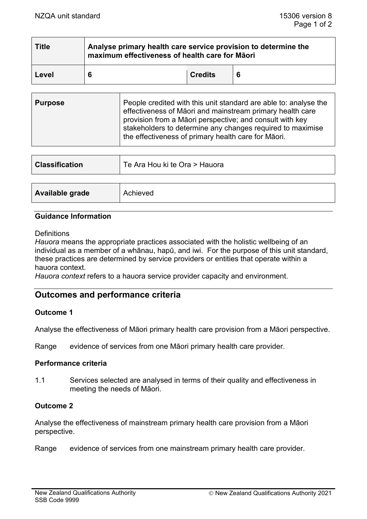| <b>Title</b> | Analyse primary health care service provision to determine the<br>maximum effectiveness of health care for Māori |                |  |  |
|--------------|------------------------------------------------------------------------------------------------------------------|----------------|--|--|
| Level        | 6                                                                                                                | <b>Credits</b> |  |  |

| <b>Purpose</b> | People credited with this unit standard are able to: analyse the<br>effectiveness of Māori and mainstream primary health care<br>provision from a Maori perspective; and consult with key<br>stakeholders to determine any changes required to maximise<br>the effectiveness of primary health care for Māori. |
|----------------|----------------------------------------------------------------------------------------------------------------------------------------------------------------------------------------------------------------------------------------------------------------------------------------------------------------|
|----------------|----------------------------------------------------------------------------------------------------------------------------------------------------------------------------------------------------------------------------------------------------------------------------------------------------------------|

| <b>Classification</b> | Te Ara Hou ki te Ora > Hauora |
|-----------------------|-------------------------------|
|                       | Achieved                      |
| Available grade       |                               |

### **Guidance Information**

#### **Definitions**

*Hauora* means the appropriate practices associated with the holistic wellbeing of an individual as a member of a whānau, hapū, and iwi. For the purpose of this unit standard, these practices are determined by service providers or entities that operate within a hauora context.

*Hauora context* refers to a hauora service provider capacity and environment.

# **Outcomes and performance criteria**

### **Outcome 1**

Analyse the effectiveness of Māori primary health care provision from a Māori perspective.

Range evidence of services from one Māori primary health care provider.

### **Performance criteria**

1.1 Services selected are analysed in terms of their quality and effectiveness in meeting the needs of Māori.

### **Outcome 2**

Analyse the effectiveness of mainstream primary health care provision from a Māori perspective.

Range evidence of services from one mainstream primary health care provider.